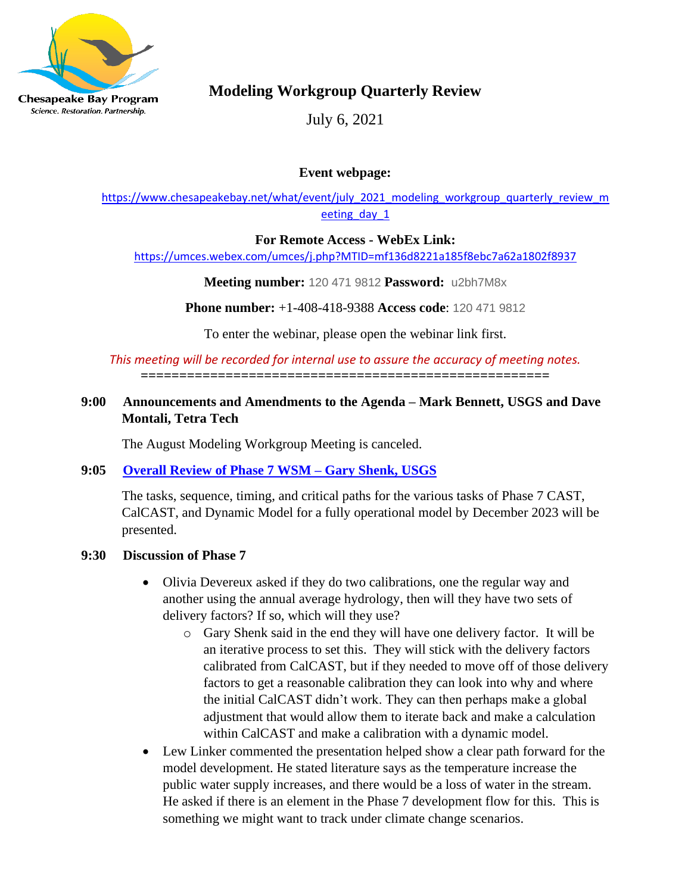

Science. Restoration. Partnership.

# **Modeling Workgroup Quarterly Review**

July 6, 2021

### **Event webpage:**

[https://www.chesapeakebay.net/what/event/july\\_2021\\_modeling\\_workgroup\\_quarterly\\_review\\_m](https://www.chesapeakebay.net/what/event/july_2021_modeling_workgroup_quarterly_review_meeting_day_1) eeting day 1

### **For Remote Access - WebEx Link:**

<https://umces.webex.com/umces/j.php?MTID=mf136d8221a185f8ebc7a62a1802f8937>

**Meeting number:** 120 471 9812 **Password:** u2bh7M8x

**Phone number:** +1-408-418-9388 **Access code**: 120 471 9812

To enter the webinar, please open the webinar link first.

#### *This meeting will be recorded for internal use to assure the accuracy of meeting notes.* **=====================================================**

### **9:00 Announcements and Amendments to the Agenda – Mark Bennett, USGS and Dave Montali, Tetra Tech**

The August Modeling Workgroup Meeting is canceled.

## **9:05 [Overall Review of Phase 7 WSM –](https://www.chesapeakebay.net/channel_files/43361/2021_07_06_modelingwg_p7_plan_gshenk.pdf) Gary Shenk, USGS**

The tasks, sequence, timing, and critical paths for the various tasks of Phase 7 CAST, CalCAST, and Dynamic Model for a fully operational model by December 2023 will be presented.

### **9:30 Discussion of Phase 7**

- Olivia Devereux asked if they do two calibrations, one the regular way and another using the annual average hydrology, then will they have two sets of delivery factors? If so, which will they use?
	- o Gary Shenk said in the end they will have one delivery factor. It will be an iterative process to set this. They will stick with the delivery factors calibrated from CalCAST, but if they needed to move off of those delivery factors to get a reasonable calibration they can look into why and where the initial CalCAST didn't work. They can then perhaps make a global adjustment that would allow them to iterate back and make a calculation within CalCAST and make a calibration with a dynamic model.
- Lew Linker commented the presentation helped show a clear path forward for the model development. He stated literature says as the temperature increase the public water supply increases, and there would be a loss of water in the stream. He asked if there is an element in the Phase 7 development flow for this. This is something we might want to track under climate change scenarios.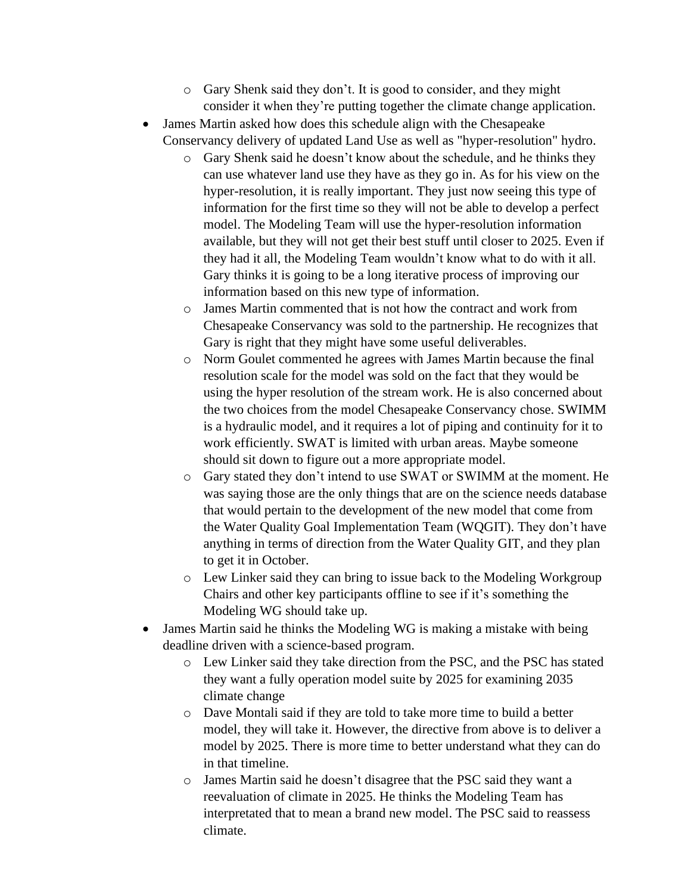- o Gary Shenk said they don't. It is good to consider, and they might consider it when they're putting together the climate change application.
- James Martin asked how does this schedule align with the Chesapeake Conservancy delivery of updated Land Use as well as "hyper-resolution" hydro.
	- o Gary Shenk said he doesn't know about the schedule, and he thinks they can use whatever land use they have as they go in. As for his view on the hyper-resolution, it is really important. They just now seeing this type of information for the first time so they will not be able to develop a perfect model. The Modeling Team will use the hyper-resolution information available, but they will not get their best stuff until closer to 2025. Even if they had it all, the Modeling Team wouldn't know what to do with it all. Gary thinks it is going to be a long iterative process of improving our information based on this new type of information.
	- o James Martin commented that is not how the contract and work from Chesapeake Conservancy was sold to the partnership. He recognizes that Gary is right that they might have some useful deliverables.
	- o Norm Goulet commented he agrees with James Martin because the final resolution scale for the model was sold on the fact that they would be using the hyper resolution of the stream work. He is also concerned about the two choices from the model Chesapeake Conservancy chose. SWIMM is a hydraulic model, and it requires a lot of piping and continuity for it to work efficiently. SWAT is limited with urban areas. Maybe someone should sit down to figure out a more appropriate model.
	- o Gary stated they don't intend to use SWAT or SWIMM at the moment. He was saying those are the only things that are on the science needs database that would pertain to the development of the new model that come from the Water Quality Goal Implementation Team (WQGIT). They don't have anything in terms of direction from the Water Quality GIT, and they plan to get it in October.
	- o Lew Linker said they can bring to issue back to the Modeling Workgroup Chairs and other key participants offline to see if it's something the Modeling WG should take up.
- James Martin said he thinks the Modeling WG is making a mistake with being deadline driven with a science-based program.
	- o Lew Linker said they take direction from the PSC, and the PSC has stated they want a fully operation model suite by 2025 for examining 2035 climate change
	- o Dave Montali said if they are told to take more time to build a better model, they will take it. However, the directive from above is to deliver a model by 2025. There is more time to better understand what they can do in that timeline.
	- o James Martin said he doesn't disagree that the PSC said they want a reevaluation of climate in 2025. He thinks the Modeling Team has interpretated that to mean a brand new model. The PSC said to reassess climate.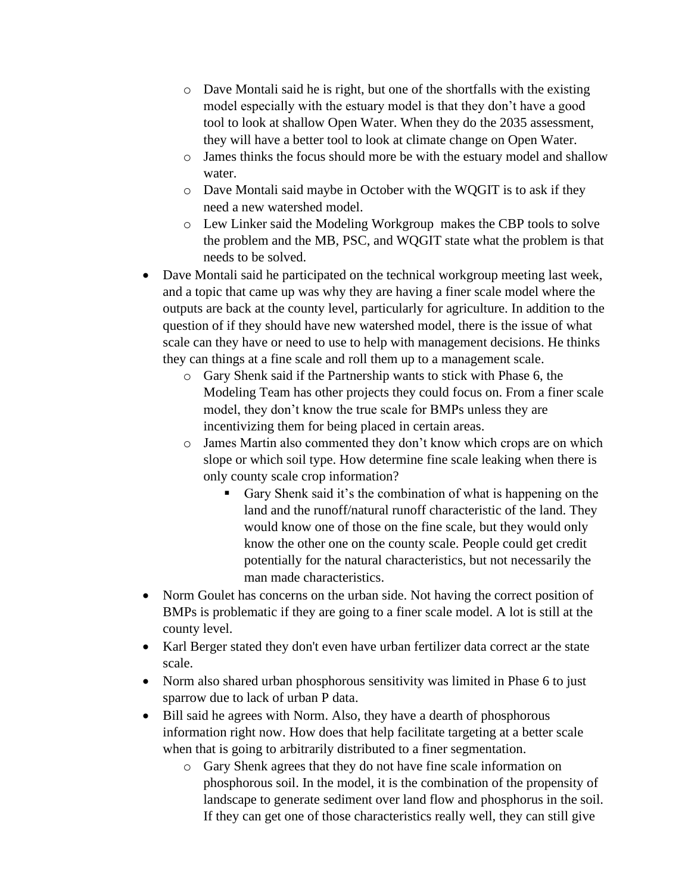- $\circ$  Dave Montali said he is right, but one of the shortfalls with the existing model especially with the estuary model is that they don't have a good tool to look at shallow Open Water. When they do the 2035 assessment, they will have a better tool to look at climate change on Open Water.
- o James thinks the focus should more be with the estuary model and shallow water.
- o Dave Montali said maybe in October with the WQGIT is to ask if they need a new watershed model.
- o Lew Linker said the Modeling Workgroup makes the CBP tools to solve the problem and the MB, PSC, and WQGIT state what the problem is that needs to be solved.
- Dave Montali said he participated on the technical workgroup meeting last week, and a topic that came up was why they are having a finer scale model where the outputs are back at the county level, particularly for agriculture. In addition to the question of if they should have new watershed model, there is the issue of what scale can they have or need to use to help with management decisions. He thinks they can things at a fine scale and roll them up to a management scale.
	- o Gary Shenk said if the Partnership wants to stick with Phase 6, the Modeling Team has other projects they could focus on. From a finer scale model, they don't know the true scale for BMPs unless they are incentivizing them for being placed in certain areas.
	- o James Martin also commented they don't know which crops are on which slope or which soil type. How determine fine scale leaking when there is only county scale crop information?
		- Gary Shenk said it's the combination of what is happening on the land and the runoff/natural runoff characteristic of the land. They would know one of those on the fine scale, but they would only know the other one on the county scale. People could get credit potentially for the natural characteristics, but not necessarily the man made characteristics.
- Norm Goulet has concerns on the urban side. Not having the correct position of BMPs is problematic if they are going to a finer scale model. A lot is still at the county level.
- Karl Berger stated they don't even have urban fertilizer data correct ar the state scale.
- Norm also shared urban phosphorous sensitivity was limited in Phase 6 to just sparrow due to lack of urban P data.
- Bill said he agrees with Norm. Also, they have a dearth of phosphorous information right now. How does that help facilitate targeting at a better scale when that is going to arbitrarily distributed to a finer segmentation.
	- o Gary Shenk agrees that they do not have fine scale information on phosphorous soil. In the model, it is the combination of the propensity of landscape to generate sediment over land flow and phosphorus in the soil. If they can get one of those characteristics really well, they can still give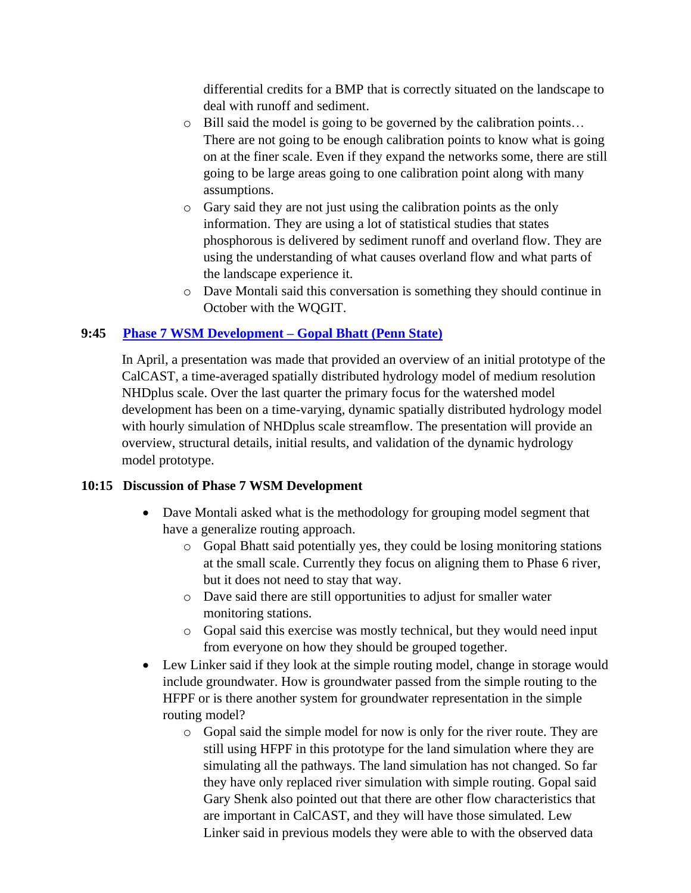differential credits for a BMP that is correctly situated on the landscape to deal with runoff and sediment.

- o Bill said the model is going to be governed by the calibration points… There are not going to be enough calibration points to know what is going on at the finer scale. Even if they expand the networks some, there are still going to be large areas going to one calibration point along with many assumptions.
- o Gary said they are not just using the calibration points as the only information. They are using a lot of statistical studies that states phosphorous is delivered by sediment runoff and overland flow. They are using the understanding of what causes overland flow and what parts of the landscape experience it.
- o Dave Montali said this conversation is something they should continue in October with the WQGIT.

### **9:45 [Phase 7 WSM Development –](https://www.chesapeakebay.net/channel_files/43361/20210706_bhatt_phase_7_wsm_development_dynamic_hydrology.pdf) Gopal Bhatt (Penn State)**

In April, a presentation was made that provided an overview of an initial prototype of the CalCAST, a time-averaged spatially distributed hydrology model of medium resolution NHDplus scale. Over the last quarter the primary focus for the watershed model development has been on a time-varying, dynamic spatially distributed hydrology model with hourly simulation of NHDplus scale streamflow. The presentation will provide an overview, structural details, initial results, and validation of the dynamic hydrology model prototype.

#### **10:15 Discussion of Phase 7 WSM Development**

- Dave Montali asked what is the methodology for grouping model segment that have a generalize routing approach.
	- o Gopal Bhatt said potentially yes, they could be losing monitoring stations at the small scale. Currently they focus on aligning them to Phase 6 river, but it does not need to stay that way.
	- o Dave said there are still opportunities to adjust for smaller water monitoring stations.
	- o Gopal said this exercise was mostly technical, but they would need input from everyone on how they should be grouped together.
- Lew Linker said if they look at the simple routing model, change in storage would include groundwater. How is groundwater passed from the simple routing to the HFPF or is there another system for groundwater representation in the simple routing model?
	- o Gopal said the simple model for now is only for the river route. They are still using HFPF in this prototype for the land simulation where they are simulating all the pathways. The land simulation has not changed. So far they have only replaced river simulation with simple routing. Gopal said Gary Shenk also pointed out that there are other flow characteristics that are important in CalCAST, and they will have those simulated. Lew Linker said in previous models they were able to with the observed data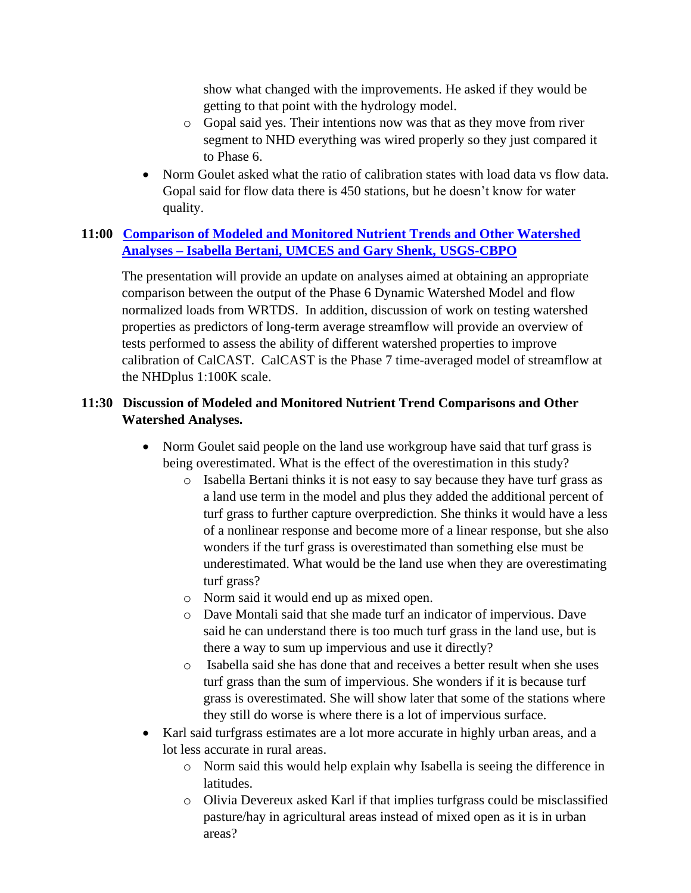show what changed with the improvements. He asked if they would be getting to that point with the hydrology model.

- o Gopal said yes. Their intentions now was that as they move from river segment to NHD everything was wired properly so they just compared it to Phase 6.
- Norm Goulet asked what the ratio of calibration states with load data vs flow data. Gopal said for flow data there is 450 stations, but he doesn't know for water quality.

### **11:00 [Comparison of Modeled and Monitored Nutrient Trends and Other Watershed](https://www.chesapeakebay.net/channel_files/43361/bertani_mwg070621.pdf)  Analyses – [Isabella Bertani, UMCES and Gary Shenk, USGS-CBPO](https://www.chesapeakebay.net/channel_files/43361/bertani_mwg070621.pdf)**

 The presentation will provide an update on analyses aimed at obtaining an appropriate comparison between the output of the Phase 6 Dynamic Watershed Model and flow normalized loads from WRTDS. In addition, discussion of work on testing watershed properties as predictors of long-term average streamflow will provide an overview of tests performed to assess the ability of different watershed properties to improve calibration of CalCAST. CalCAST is the Phase 7 time-averaged model of streamflow at the NHDplus 1:100K scale.

### **11:30 Discussion of Modeled and Monitored Nutrient Trend Comparisons and Other Watershed Analyses.**

- Norm Goulet said people on the land use workgroup have said that turf grass is being overestimated. What is the effect of the overestimation in this study?
	- o Isabella Bertani thinks it is not easy to say because they have turf grass as a land use term in the model and plus they added the additional percent of turf grass to further capture overprediction. She thinks it would have a less of a nonlinear response and become more of a linear response, but she also wonders if the turf grass is overestimated than something else must be underestimated. What would be the land use when they are overestimating turf grass?
	- o Norm said it would end up as mixed open.
	- o Dave Montali said that she made turf an indicator of impervious. Dave said he can understand there is too much turf grass in the land use, but is there a way to sum up impervious and use it directly?
	- o Isabella said she has done that and receives a better result when she uses turf grass than the sum of impervious. She wonders if it is because turf grass is overestimated. She will show later that some of the stations where they still do worse is where there is a lot of impervious surface.
- Karl said turfgrass estimates are a lot more accurate in highly urban areas, and a lot less accurate in rural areas.
	- o Norm said this would help explain why Isabella is seeing the difference in latitudes.
	- o Olivia Devereux asked Karl if that implies turfgrass could be misclassified pasture/hay in agricultural areas instead of mixed open as it is in urban areas?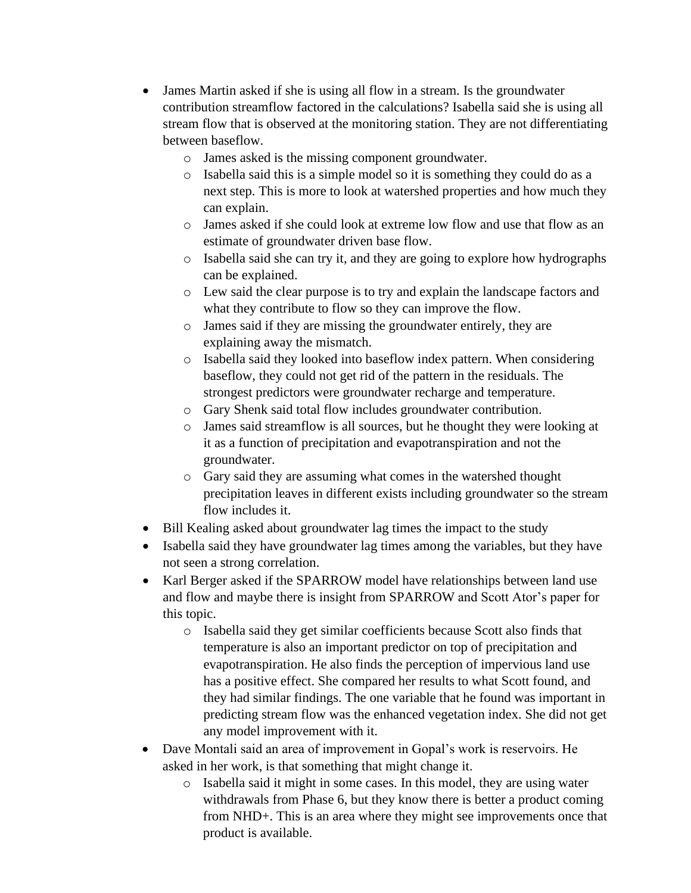- James Martin asked if she is using all flow in a stream. Is the groundwater contribution streamflow factored in the calculations? Isabella said she is using all stream flow that is observed at the monitoring station. They are not differentiating between baseflow.
	- o James asked is the missing component groundwater.
	- o Isabella said this is a simple model so it is something they could do as a next step. This is more to look at watershed properties and how much they can explain.
	- o James asked if she could look at extreme low flow and use that flow as an estimate of groundwater driven base flow.
	- o Isabella said she can try it, and they are going to explore how hydrographs can be explained.
	- o Lew said the clear purpose is to try and explain the landscape factors and what they contribute to flow so they can improve the flow.
	- o James said if they are missing the groundwater entirely, they are explaining away the mismatch.
	- o Isabella said they looked into baseflow index pattern. When considering baseflow, they could not get rid of the pattern in the residuals. The strongest predictors were groundwater recharge and temperature.
	- o Gary Shenk said total flow includes groundwater contribution.
	- o James said streamflow is all sources, but he thought they were looking at it as a function of precipitation and evapotranspiration and not the groundwater.
	- o Gary said they are assuming what comes in the watershed thought precipitation leaves in different exists including groundwater so the stream flow includes it.
- Bill Kealing asked about groundwater lag times the impact to the study
- Isabella said they have groundwater lag times among the variables, but they have not seen a strong correlation.
- Karl Berger asked if the SPARROW model have relationships between land use and flow and maybe there is insight from SPARROW and Scott Ator's paper for this topic.
	- o Isabella said they get similar coefficients because Scott also finds that temperature is also an important predictor on top of precipitation and evapotranspiration. He also finds the perception of impervious land use has a positive effect. She compared her results to what Scott found, and they had similar findings. The one variable that he found was important in predicting stream flow was the enhanced vegetation index. She did not get any model improvement with it.
- Dave Montali said an area of improvement in Gopal's work is reservoirs. He asked in her work, is that something that might change it.
	- o Isabella said it might in some cases. In this model, they are using water withdrawals from Phase 6, but they know there is better a product coming from NHD+. This is an area where they might see improvements once that product is available.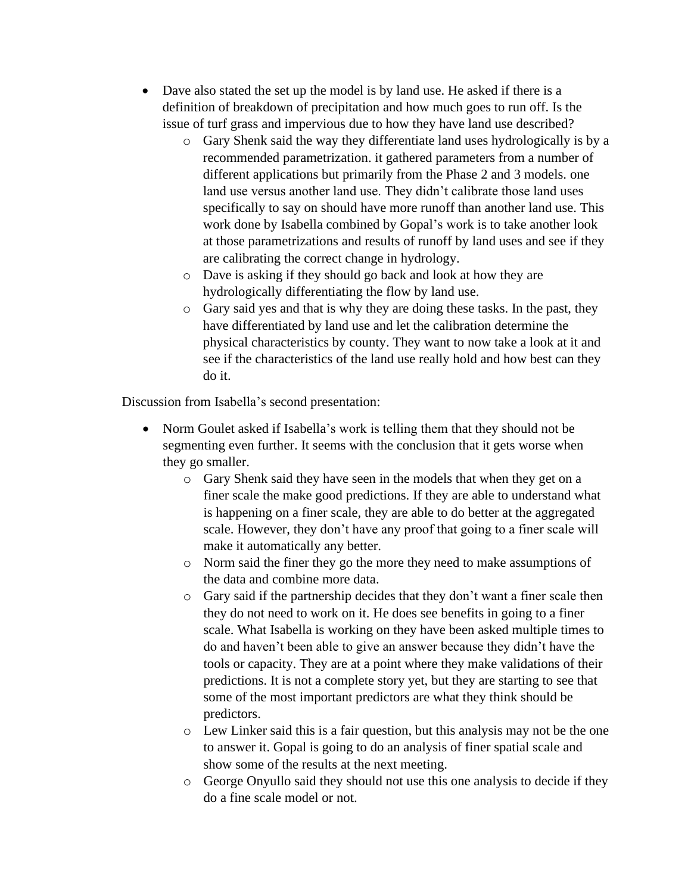- Dave also stated the set up the model is by land use. He asked if there is a definition of breakdown of precipitation and how much goes to run off. Is the issue of turf grass and impervious due to how they have land use described?
	- o Gary Shenk said the way they differentiate land uses hydrologically is by a recommended parametrization. it gathered parameters from a number of different applications but primarily from the Phase 2 and 3 models. one land use versus another land use. They didn't calibrate those land uses specifically to say on should have more runoff than another land use. This work done by Isabella combined by Gopal's work is to take another look at those parametrizations and results of runoff by land uses and see if they are calibrating the correct change in hydrology.
	- o Dave is asking if they should go back and look at how they are hydrologically differentiating the flow by land use.
	- o Gary said yes and that is why they are doing these tasks. In the past, they have differentiated by land use and let the calibration determine the physical characteristics by county. They want to now take a look at it and see if the characteristics of the land use really hold and how best can they do it.

Discussion from Isabella's second presentation:

- Norm Goulet asked if Isabella's work is telling them that they should not be segmenting even further. It seems with the conclusion that it gets worse when they go smaller.
	- o Gary Shenk said they have seen in the models that when they get on a finer scale the make good predictions. If they are able to understand what is happening on a finer scale, they are able to do better at the aggregated scale. However, they don't have any proof that going to a finer scale will make it automatically any better.
	- o Norm said the finer they go the more they need to make assumptions of the data and combine more data.
	- $\circ$  Gary said if the partnership decides that they don't want a finer scale then they do not need to work on it. He does see benefits in going to a finer scale. What Isabella is working on they have been asked multiple times to do and haven't been able to give an answer because they didn't have the tools or capacity. They are at a point where they make validations of their predictions. It is not a complete story yet, but they are starting to see that some of the most important predictors are what they think should be predictors.
	- o Lew Linker said this is a fair question, but this analysis may not be the one to answer it. Gopal is going to do an analysis of finer spatial scale and show some of the results at the next meeting.
	- o George Onyullo said they should not use this one analysis to decide if they do a fine scale model or not.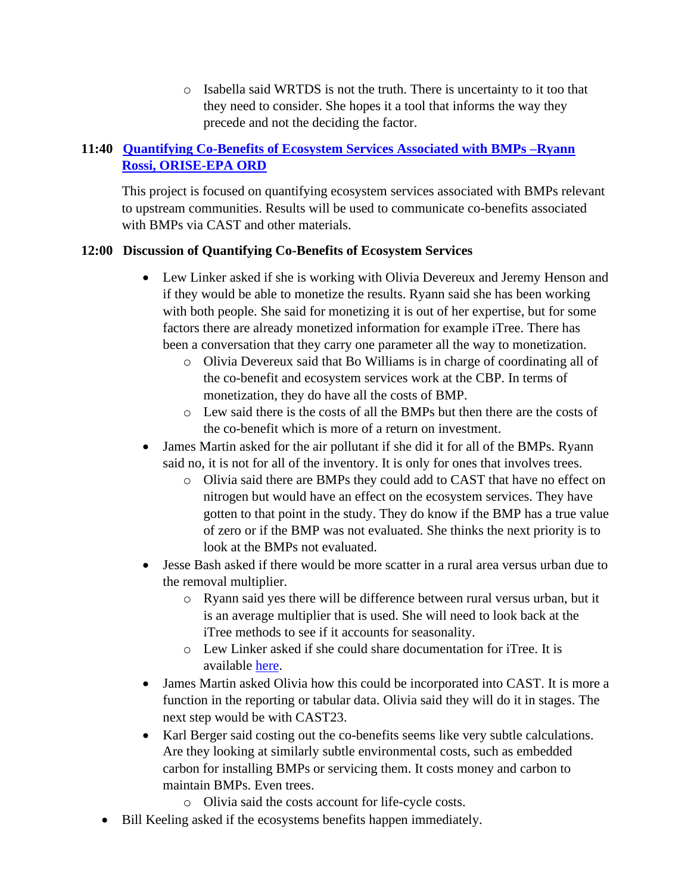o Isabella said WRTDS is not the truth. There is uncertainty to it too that they need to consider. She hopes it a tool that informs the way they precede and not the deciding the factor.

### **11:40 [Quantifying Co-Benefits of Ecosystem Services Associated with BMPs –Ryann](https://www.chesapeakebay.net/channel_files/43361/rossi_modeling_workgroup_7.2.21.pdf)  [Rossi, ORISE-EPA ORD](https://www.chesapeakebay.net/channel_files/43361/rossi_modeling_workgroup_7.2.21.pdf)**

This project is focused on quantifying ecosystem services associated with BMPs relevant to upstream communities. Results will be used to communicate co-benefits associated with BMPs via CAST and other materials.

#### **12:00 Discussion of Quantifying Co-Benefits of Ecosystem Services**

- Lew Linker asked if she is working with Olivia Devereux and Jeremy Henson and if they would be able to monetize the results. Ryann said she has been working with both people. She said for monetizing it is out of her expertise, but for some factors there are already monetized information for example iTree. There has been a conversation that they carry one parameter all the way to monetization.
	- o Olivia Devereux said that Bo Williams is in charge of coordinating all of the co-benefit and ecosystem services work at the CBP. In terms of monetization, they do have all the costs of BMP.
	- o Lew said there is the costs of all the BMPs but then there are the costs of the co-benefit which is more of a return on investment.
- James Martin asked for the air pollutant if she did it for all of the BMPs. Ryann said no, it is not for all of the inventory. It is only for ones that involves trees.
	- o Olivia said there are BMPs they could add to CAST that have no effect on nitrogen but would have an effect on the ecosystem services. They have gotten to that point in the study. They do know if the BMP has a true value of zero or if the BMP was not evaluated. She thinks the next priority is to look at the BMPs not evaluated.
- Jesse Bash asked if there would be more scatter in a rural area versus urban due to the removal multiplier.
	- o Ryann said yes there will be difference between rural versus urban, but it is an average multiplier that is used. She will need to look back at the iTree methods to see if it accounts for seasonality.
	- o Lew Linker asked if she could share documentation for iTree. It is available [here.](https://www.chesapeakebay.net/channel_files/43361/i-tree_canopy_air_pollutant_removal_and_monetary_value_model_descriptions.pdf)
- James Martin asked Olivia how this could be incorporated into CAST. It is more a function in the reporting or tabular data. Olivia said they will do it in stages. The next step would be with CAST23.
- Karl Berger said costing out the co-benefits seems like very subtle calculations. Are they looking at similarly subtle environmental costs, such as embedded carbon for installing BMPs or servicing them. It costs money and carbon to maintain BMPs. Even trees.
	- o Olivia said the costs account for life-cycle costs.
- Bill Keeling asked if the ecosystems benefits happen immediately.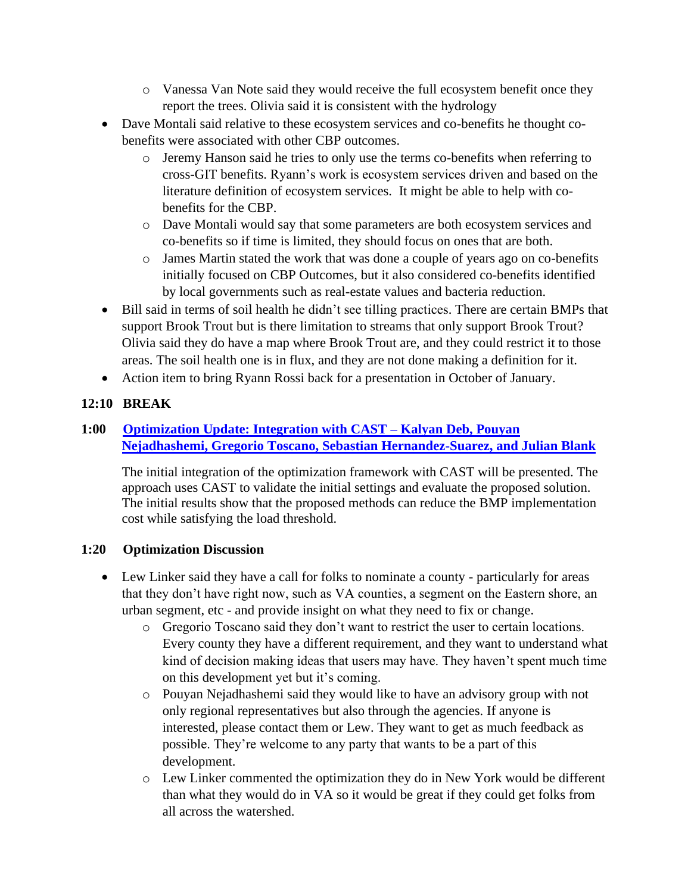- o Vanessa Van Note said they would receive the full ecosystem benefit once they report the trees. Olivia said it is consistent with the hydrology
- Dave Montali said relative to these ecosystem services and co-benefits he thought cobenefits were associated with other CBP outcomes.
	- $\circ$  Jeremy Hanson said he tries to only use the terms co-benefits when referring to cross-GIT benefits. Ryann's work is ecosystem services driven and based on the literature definition of ecosystem services. It might be able to help with cobenefits for the CBP.
	- o Dave Montali would say that some parameters are both ecosystem services and co-benefits so if time is limited, they should focus on ones that are both.
	- o James Martin stated the work that was done a couple of years ago on co-benefits initially focused on CBP Outcomes, but it also considered co-benefits identified by local governments such as real-estate values and bacteria reduction.
- Bill said in terms of soil health he didn't see tilling practices. There are certain BMPs that support Brook Trout but is there limitation to streams that only support Brook Trout? Olivia said they do have a map where Brook Trout are, and they could restrict it to those areas. The soil health one is in flux, and they are not done making a definition for it.
- Action item to bring Ryann Rossi back for a presentation in October of January.

### **12:10 BREAK**

### **1:00 [Optimization Update: Integration with CAST –](https://www.chesapeakebay.net/channel_files/43361/gregorio_july_6_2021_07_05.pdf) Kalyan Deb, Pouyan [Nejadhashemi, Gregorio Toscano, Sebastian Hernandez-Suarez, and Julian Blank](https://www.chesapeakebay.net/channel_files/43361/gregorio_july_6_2021_07_05.pdf)**

 The initial integration of the optimization framework with CAST will be presented. The approach uses CAST to validate the initial settings and evaluate the proposed solution. The initial results show that the proposed methods can reduce the BMP implementation cost while satisfying the load threshold.

#### **1:20 Optimization Discussion**

- Lew Linker said they have a call for folks to nominate a county particularly for areas that they don't have right now, such as VA counties, a segment on the Eastern shore, an urban segment, etc - and provide insight on what they need to fix or change.
	- o Gregorio Toscano said they don't want to restrict the user to certain locations. Every county they have a different requirement, and they want to understand what kind of decision making ideas that users may have. They haven't spent much time on this development yet but it's coming.
	- o Pouyan Nejadhashemi said they would like to have an advisory group with not only regional representatives but also through the agencies. If anyone is interested, please contact them or Lew. They want to get as much feedback as possible. They're welcome to any party that wants to be a part of this development.
	- o Lew Linker commented the optimization they do in New York would be different than what they would do in VA so it would be great if they could get folks from all across the watershed.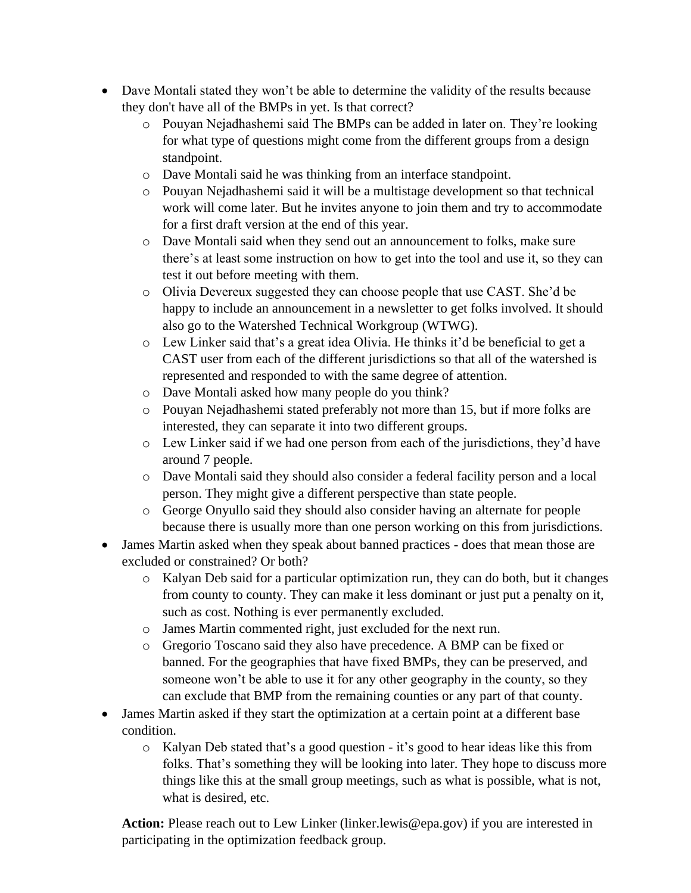- Dave Montali stated they won't be able to determine the validity of the results because they don't have all of the BMPs in yet. Is that correct?
	- o Pouyan Nejadhashemi said The BMPs can be added in later on. They're looking for what type of questions might come from the different groups from a design standpoint.
	- o Dave Montali said he was thinking from an interface standpoint.
	- o Pouyan Nejadhashemi said it will be a multistage development so that technical work will come later. But he invites anyone to join them and try to accommodate for a first draft version at the end of this year.
	- o Dave Montali said when they send out an announcement to folks, make sure there's at least some instruction on how to get into the tool and use it, so they can test it out before meeting with them.
	- o Olivia Devereux suggested they can choose people that use CAST. She'd be happy to include an announcement in a newsletter to get folks involved. It should also go to the Watershed Technical Workgroup (WTWG).
	- o Lew Linker said that's a great idea Olivia. He thinks it'd be beneficial to get a CAST user from each of the different jurisdictions so that all of the watershed is represented and responded to with the same degree of attention.
	- o Dave Montali asked how many people do you think?
	- o Pouyan Nejadhashemi stated preferably not more than 15, but if more folks are interested, they can separate it into two different groups.
	- o Lew Linker said if we had one person from each of the jurisdictions, they'd have around 7 people.
	- o Dave Montali said they should also consider a federal facility person and a local person. They might give a different perspective than state people.
	- o George Onyullo said they should also consider having an alternate for people because there is usually more than one person working on this from jurisdictions.
- James Martin asked when they speak about banned practices does that mean those are excluded or constrained? Or both?
	- o Kalyan Deb said for a particular optimization run, they can do both, but it changes from county to county. They can make it less dominant or just put a penalty on it, such as cost. Nothing is ever permanently excluded.
	- o James Martin commented right, just excluded for the next run.
	- o Gregorio Toscano said they also have precedence. A BMP can be fixed or banned. For the geographies that have fixed BMPs, they can be preserved, and someone won't be able to use it for any other geography in the county, so they can exclude that BMP from the remaining counties or any part of that county.
- James Martin asked if they start the optimization at a certain point at a different base condition.
	- o Kalyan Deb stated that's a good question it's good to hear ideas like this from folks. That's something they will be looking into later. They hope to discuss more things like this at the small group meetings, such as what is possible, what is not, what is desired, etc.

Action: Please reach out to Lew Linker (linker.lewis@epa.gov) if you are interested in participating in the optimization feedback group.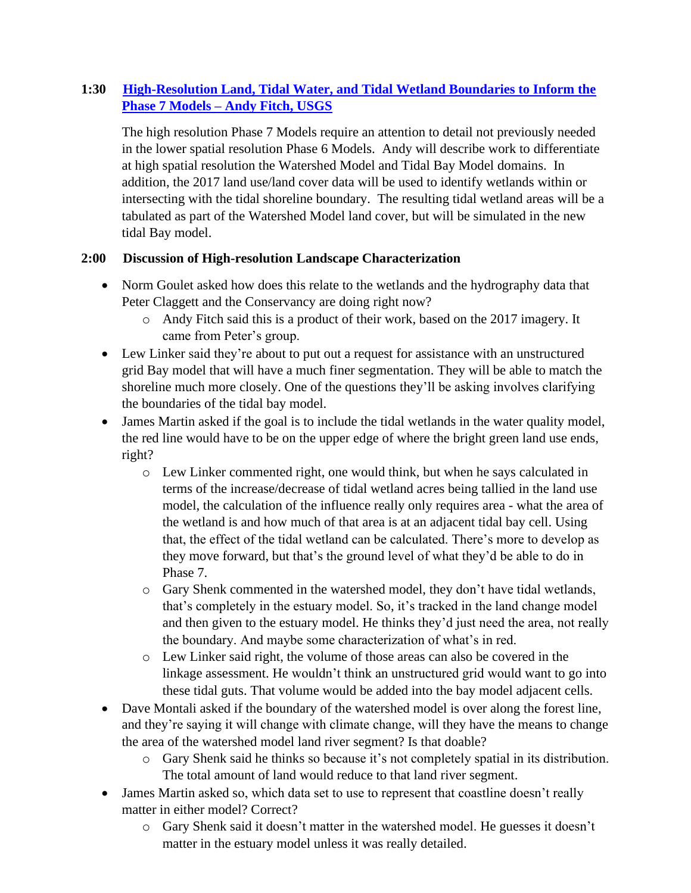### **1:30 [High-Resolution Land, Tidal Water, and Tidal Wetland Boundaries to Inform the](https://www.chesapeakebay.net/channel_files/43361/andyfinch_modelingworkgroup07062021.pdf)  Phase 7 Models – [Andy Fitch, USGS](https://www.chesapeakebay.net/channel_files/43361/andyfinch_modelingworkgroup07062021.pdf)**

 The high resolution Phase 7 Models require an attention to detail not previously needed in the lower spatial resolution Phase 6 Models. Andy will describe work to differentiate at high spatial resolution the Watershed Model and Tidal Bay Model domains. In addition, the 2017 land use/land cover data will be used to identify wetlands within or intersecting with the tidal shoreline boundary. The resulting tidal wetland areas will be a tabulated as part of the Watershed Model land cover, but will be simulated in the new tidal Bay model.

### **2:00 Discussion of High-resolution Landscape Characterization**

- Norm Goulet asked how does this relate to the wetlands and the hydrography data that Peter Claggett and the Conservancy are doing right now?
	- o Andy Fitch said this is a product of their work, based on the 2017 imagery. It came from Peter's group.
- Lew Linker said they're about to put out a request for assistance with an unstructured grid Bay model that will have a much finer segmentation. They will be able to match the shoreline much more closely. One of the questions they'll be asking involves clarifying the boundaries of the tidal bay model.
- James Martin asked if the goal is to include the tidal wetlands in the water quality model, the red line would have to be on the upper edge of where the bright green land use ends, right?
	- o Lew Linker commented right, one would think, but when he says calculated in terms of the increase/decrease of tidal wetland acres being tallied in the land use model, the calculation of the influence really only requires area - what the area of the wetland is and how much of that area is at an adjacent tidal bay cell. Using that, the effect of the tidal wetland can be calculated. There's more to develop as they move forward, but that's the ground level of what they'd be able to do in Phase 7.
	- o Gary Shenk commented in the watershed model, they don't have tidal wetlands, that's completely in the estuary model. So, it's tracked in the land change model and then given to the estuary model. He thinks they'd just need the area, not really the boundary. And maybe some characterization of what's in red.
	- o Lew Linker said right, the volume of those areas can also be covered in the linkage assessment. He wouldn't think an unstructured grid would want to go into these tidal guts. That volume would be added into the bay model adjacent cells.
- Dave Montali asked if the boundary of the watershed model is over along the forest line, and they're saying it will change with climate change, will they have the means to change the area of the watershed model land river segment? Is that doable?
	- o Gary Shenk said he thinks so because it's not completely spatial in its distribution. The total amount of land would reduce to that land river segment.
- James Martin asked so, which data set to use to represent that coastline doesn't really matter in either model? Correct?
	- o Gary Shenk said it doesn't matter in the watershed model. He guesses it doesn't matter in the estuary model unless it was really detailed.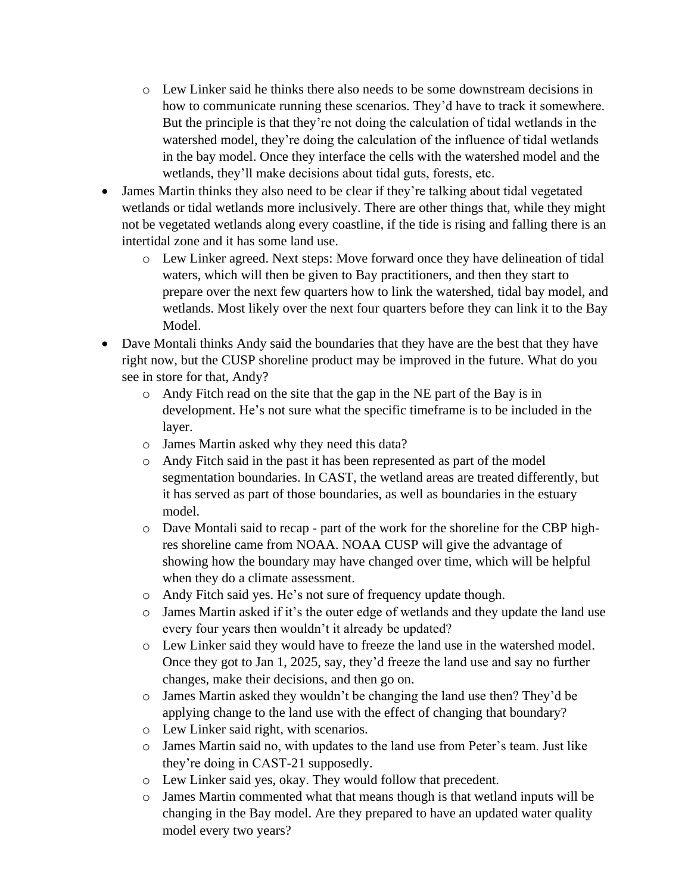- o Lew Linker said he thinks there also needs to be some downstream decisions in how to communicate running these scenarios. They'd have to track it somewhere. But the principle is that they're not doing the calculation of tidal wetlands in the watershed model, they're doing the calculation of the influence of tidal wetlands in the bay model. Once they interface the cells with the watershed model and the wetlands, they'll make decisions about tidal guts, forests, etc.
- James Martin thinks they also need to be clear if they're talking about tidal vegetated wetlands or tidal wetlands more inclusively. There are other things that, while they might not be vegetated wetlands along every coastline, if the tide is rising and falling there is an intertidal zone and it has some land use.
	- o Lew Linker agreed. Next steps: Move forward once they have delineation of tidal waters, which will then be given to Bay practitioners, and then they start to prepare over the next few quarters how to link the watershed, tidal bay model, and wetlands. Most likely over the next four quarters before they can link it to the Bay Model.
- Dave Montali thinks Andy said the boundaries that they have are the best that they have right now, but the CUSP shoreline product may be improved in the future. What do you see in store for that, Andy?
	- o Andy Fitch read on the site that the gap in the NE part of the Bay is in development. He's not sure what the specific timeframe is to be included in the layer.
	- o James Martin asked why they need this data?
	- o Andy Fitch said in the past it has been represented as part of the model segmentation boundaries. In CAST, the wetland areas are treated differently, but it has served as part of those boundaries, as well as boundaries in the estuary model.
	- o Dave Montali said to recap part of the work for the shoreline for the CBP highres shoreline came from NOAA. NOAA CUSP will give the advantage of showing how the boundary may have changed over time, which will be helpful when they do a climate assessment.
	- o Andy Fitch said yes. He's not sure of frequency update though.
	- o James Martin asked if it's the outer edge of wetlands and they update the land use every four years then wouldn't it already be updated?
	- o Lew Linker said they would have to freeze the land use in the watershed model. Once they got to Jan 1, 2025, say, they'd freeze the land use and say no further changes, make their decisions, and then go on.
	- $\circ$  James Martin asked they wouldn't be changing the land use then? They'd be applying change to the land use with the effect of changing that boundary?
	- o Lew Linker said right, with scenarios.
	- o James Martin said no, with updates to the land use from Peter's team. Just like they're doing in CAST-21 supposedly.
	- o Lew Linker said yes, okay. They would follow that precedent.
	- $\circ$  James Martin commented what that means though is that wetland inputs will be changing in the Bay model. Are they prepared to have an updated water quality model every two years?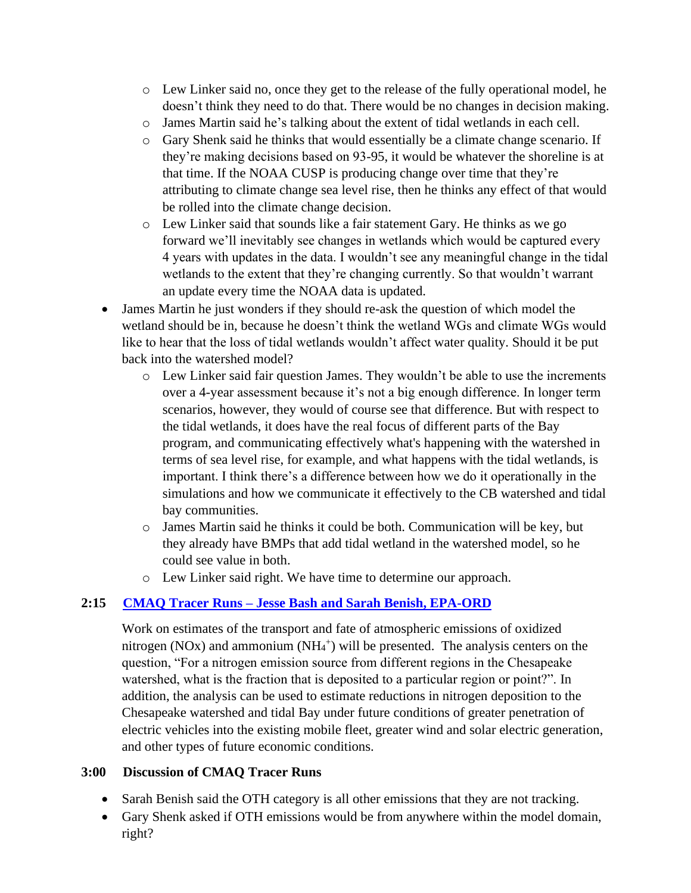- o Lew Linker said no, once they get to the release of the fully operational model, he doesn't think they need to do that. There would be no changes in decision making.
- o James Martin said he's talking about the extent of tidal wetlands in each cell.
- o Gary Shenk said he thinks that would essentially be a climate change scenario. If they're making decisions based on 93-95, it would be whatever the shoreline is at that time. If the NOAA CUSP is producing change over time that they're attributing to climate change sea level rise, then he thinks any effect of that would be rolled into the climate change decision.
- o Lew Linker said that sounds like a fair statement Gary. He thinks as we go forward we'll inevitably see changes in wetlands which would be captured every 4 years with updates in the data. I wouldn't see any meaningful change in the tidal wetlands to the extent that they're changing currently. So that wouldn't warrant an update every time the NOAA data is updated.
- James Martin he just wonders if they should re-ask the question of which model the wetland should be in, because he doesn't think the wetland WGs and climate WGs would like to hear that the loss of tidal wetlands wouldn't affect water quality. Should it be put back into the watershed model?
	- $\circ$  Lew Linker said fair question James. They wouldn't be able to use the increments over a 4-year assessment because it's not a big enough difference. In longer term scenarios, however, they would of course see that difference. But with respect to the tidal wetlands, it does have the real focus of different parts of the Bay program, and communicating effectively what's happening with the watershed in terms of sea level rise, for example, and what happens with the tidal wetlands, is important. I think there's a difference between how we do it operationally in the simulations and how we communicate it effectively to the CB watershed and tidal bay communities.
	- o James Martin said he thinks it could be both. Communication will be key, but they already have BMPs that add tidal wetland in the watershed model, so he could see value in both.
	- o Lew Linker said right. We have time to determine our approach.

### **2:15 CMAQ Tracer Runs – [Jesse Bash and Sarah Benish, EPA-ORD](https://www.chesapeakebay.net/channel_files/43361/cmaq_tracer_runs_jesse_bash_and_sarah_benish_epa_ord.pdf)**

 Work on estimates of the transport and fate of atmospheric emissions of oxidized nitrogen (NOx) and ammonium (NH<sub>4</sub><sup>+</sup>) will be presented. The analysis centers on the question, "For a nitrogen emission source from different regions in the Chesapeake watershed, what is the fraction that is deposited to a particular region or point?". In addition, the analysis can be used to estimate reductions in nitrogen deposition to the Chesapeake watershed and tidal Bay under future conditions of greater penetration of electric vehicles into the existing mobile fleet, greater wind and solar electric generation, and other types of future economic conditions.

#### **3:00 Discussion of CMAQ Tracer Runs**

- Sarah Benish said the OTH category is all other emissions that they are not tracking.
- Gary Shenk asked if OTH emissions would be from anywhere within the model domain, right?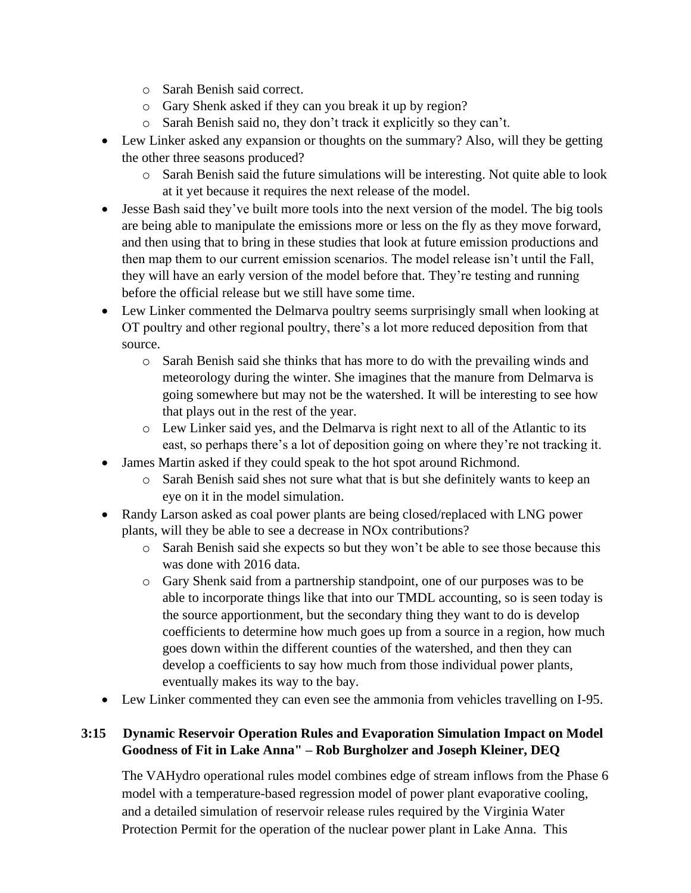- o Sarah Benish said correct.
- o Gary Shenk asked if they can you break it up by region?
- o Sarah Benish said no, they don't track it explicitly so they can't.
- Lew Linker asked any expansion or thoughts on the summary? Also, will they be getting the other three seasons produced?
	- $\circ$  Sarah Benish said the future simulations will be interesting. Not quite able to look at it yet because it requires the next release of the model.
- Jesse Bash said they've built more tools into the next version of the model. The big tools are being able to manipulate the emissions more or less on the fly as they move forward, and then using that to bring in these studies that look at future emission productions and then map them to our current emission scenarios. The model release isn't until the Fall, they will have an early version of the model before that. They're testing and running before the official release but we still have some time.
- Lew Linker commented the Delmarva poultry seems surprisingly small when looking at OT poultry and other regional poultry, there's a lot more reduced deposition from that source.
	- o Sarah Benish said she thinks that has more to do with the prevailing winds and meteorology during the winter. She imagines that the manure from Delmarva is going somewhere but may not be the watershed. It will be interesting to see how that plays out in the rest of the year.
	- o Lew Linker said yes, and the Delmarva is right next to all of the Atlantic to its east, so perhaps there's a lot of deposition going on where they're not tracking it.
- James Martin asked if they could speak to the hot spot around Richmond.
	- o Sarah Benish said shes not sure what that is but she definitely wants to keep an eye on it in the model simulation.
- Randy Larson asked as coal power plants are being closed/replaced with LNG power plants, will they be able to see a decrease in NOx contributions?
	- o Sarah Benish said she expects so but they won't be able to see those because this was done with 2016 data.
	- o Gary Shenk said from a partnership standpoint, one of our purposes was to be able to incorporate things like that into our TMDL accounting, so is seen today is the source apportionment, but the secondary thing they want to do is develop coefficients to determine how much goes up from a source in a region, how much goes down within the different counties of the watershed, and then they can develop a coefficients to say how much from those individual power plants, eventually makes its way to the bay.
- Lew Linker commented they can even see the ammonia from vehicles travelling on I-95.

### **3:15 Dynamic Reservoir Operation Rules and Evaporation Simulation Impact on Model Goodness of Fit in Lake Anna" – Rob Burgholzer and Joseph Kleiner, DEQ**

The VAHydro operational rules model combines edge of stream inflows from the Phase 6 model with a temperature-based regression model of power plant evaporative cooling, and a detailed simulation of reservoir release rules required by the Virginia Water Protection Permit for the operation of the nuclear power plant in Lake Anna. This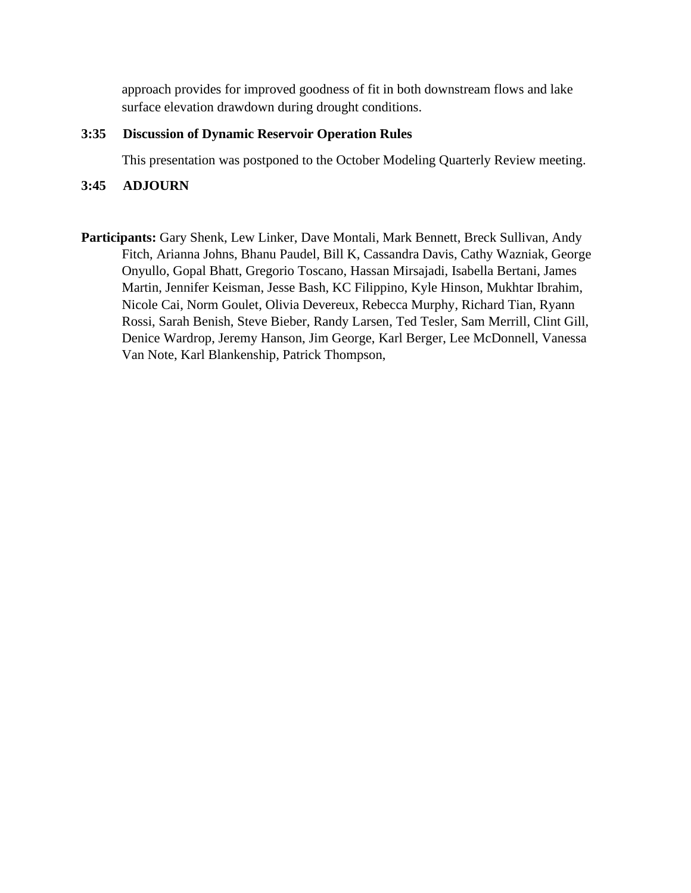approach provides for improved goodness of fit in both downstream flows and lake surface elevation drawdown during drought conditions.

#### **3:35 Discussion of Dynamic Reservoir Operation Rules**

This presentation was postponed to the October Modeling Quarterly Review meeting.

#### **3:45 ADJOURN**

Participants: Gary Shenk, Lew Linker, Dave Montali, Mark Bennett, Breck Sullivan, Andy Fitch, Arianna Johns, Bhanu Paudel, Bill K, Cassandra Davis, Cathy Wazniak, George Onyullo, Gopal Bhatt, Gregorio Toscano, Hassan Mirsajadi, Isabella Bertani, James Martin, Jennifer Keisman, Jesse Bash, KC Filippino, Kyle Hinson, Mukhtar Ibrahim, Nicole Cai, Norm Goulet, Olivia Devereux, Rebecca Murphy, Richard Tian, Ryann Rossi, Sarah Benish, Steve Bieber, Randy Larsen, Ted Tesler, Sam Merrill, Clint Gill, Denice Wardrop, Jeremy Hanson, Jim George, Karl Berger, Lee McDonnell, Vanessa Van Note, Karl Blankenship, Patrick Thompson,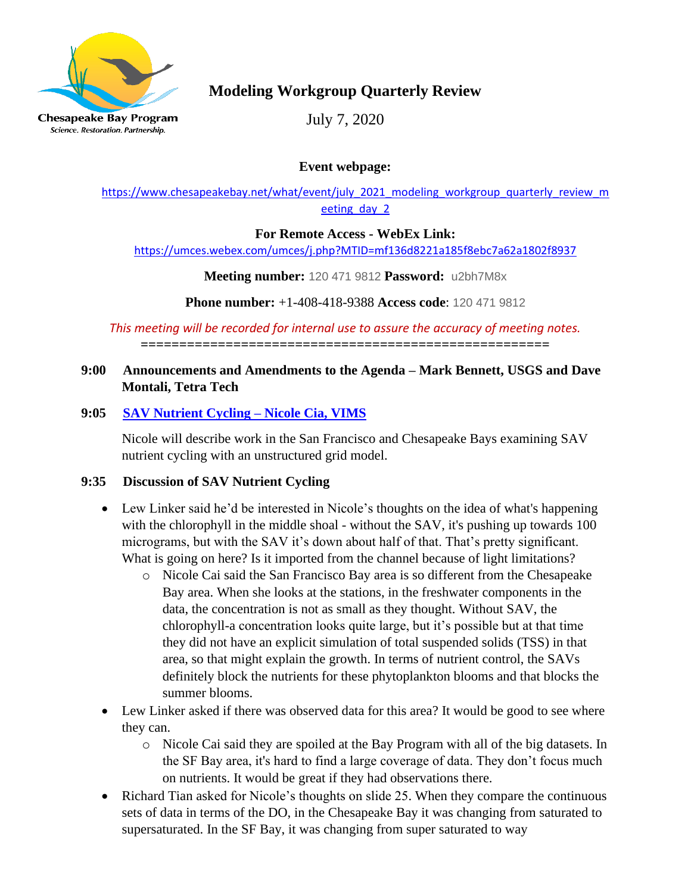

# **Modeling Workgroup Quarterly Review**

July 7, 2020

**Event webpage:**

[https://www.chesapeakebay.net/what/event/july\\_2021\\_modeling\\_workgroup\\_quarterly\\_review\\_m](https://www.chesapeakebay.net/what/event/july_2021_modeling_workgroup_quarterly_review_meeting_day_2) eeting day 2

**For Remote Access - WebEx Link:** 

<https://umces.webex.com/umces/j.php?MTID=mf136d8221a185f8ebc7a62a1802f8937>

**Meeting number:** 120 471 9812 **Password:** u2bh7M8x

**Phone number:** +1-408-418-9388 **Access code**: 120 471 9812

*This meeting will be recorded for internal use to assure the accuracy of meeting notes.* **=====================================================**

#### **9:00 Announcements and Amendments to the Agenda – Mark Bennett, USGS and Dave Montali, Tetra Tech**

### **9:05 [SAV Nutrient Cycling –](https://www.chesapeakebay.net/channel_files/43361/cbp_07072021_ncai.pdf) Nicole Cia, VIMS**

 Nicole will describe work in the San Francisco and Chesapeake Bays examining SAV nutrient cycling with an unstructured grid model.

#### **9:35 Discussion of SAV Nutrient Cycling**

- Lew Linker said he'd be interested in Nicole's thoughts on the idea of what's happening with the chlorophyll in the middle shoal - without the SAV, it's pushing up towards 100 micrograms, but with the SAV it's down about half of that. That's pretty significant. What is going on here? Is it imported from the channel because of light limitations?
	- o Nicole Cai said the San Francisco Bay area is so different from the Chesapeake Bay area. When she looks at the stations, in the freshwater components in the data, the concentration is not as small as they thought. Without SAV, the chlorophyll-a concentration looks quite large, but it's possible but at that time they did not have an explicit simulation of total suspended solids (TSS) in that area, so that might explain the growth. In terms of nutrient control, the SAVs definitely block the nutrients for these phytoplankton blooms and that blocks the summer blooms.
- Lew Linker asked if there was observed data for this area? It would be good to see where they can.
	- o Nicole Cai said they are spoiled at the Bay Program with all of the big datasets. In the SF Bay area, it's hard to find a large coverage of data. They don't focus much on nutrients. It would be great if they had observations there.
- Richard Tian asked for Nicole's thoughts on slide 25. When they compare the continuous sets of data in terms of the DO, in the Chesapeake Bay it was changing from saturated to supersaturated. In the SF Bay, it was changing from super saturated to way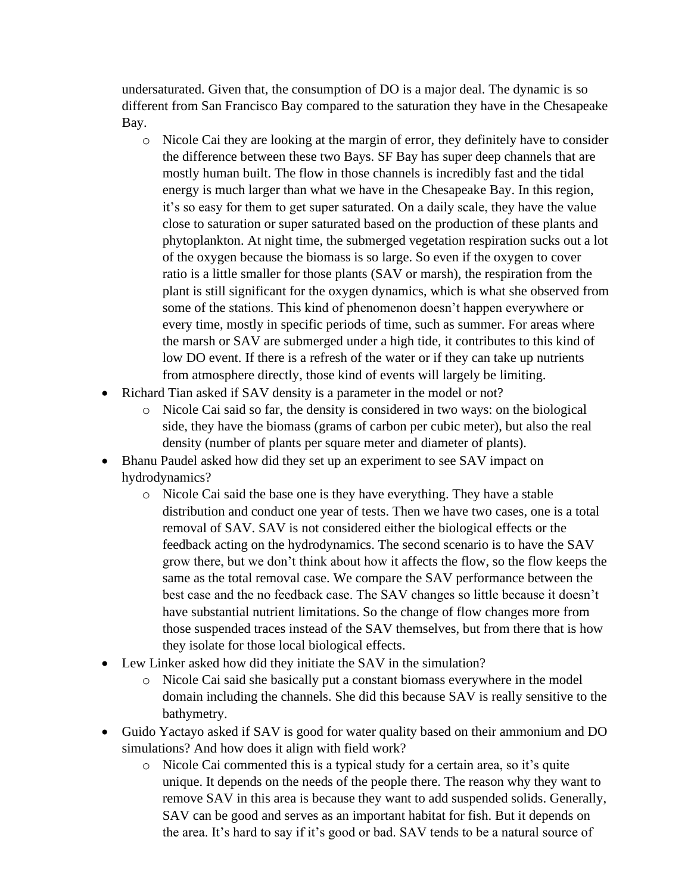undersaturated. Given that, the consumption of DO is a major deal. The dynamic is so different from San Francisco Bay compared to the saturation they have in the Chesapeake Bay.

- o Nicole Cai they are looking at the margin of error, they definitely have to consider the difference between these two Bays. SF Bay has super deep channels that are mostly human built. The flow in those channels is incredibly fast and the tidal energy is much larger than what we have in the Chesapeake Bay. In this region, it's so easy for them to get super saturated. On a daily scale, they have the value close to saturation or super saturated based on the production of these plants and phytoplankton. At night time, the submerged vegetation respiration sucks out a lot of the oxygen because the biomass is so large. So even if the oxygen to cover ratio is a little smaller for those plants (SAV or marsh), the respiration from the plant is still significant for the oxygen dynamics, which is what she observed from some of the stations. This kind of phenomenon doesn't happen everywhere or every time, mostly in specific periods of time, such as summer. For areas where the marsh or SAV are submerged under a high tide, it contributes to this kind of low DO event. If there is a refresh of the water or if they can take up nutrients from atmosphere directly, those kind of events will largely be limiting.
- Richard Tian asked if SAV density is a parameter in the model or not?
	- o Nicole Cai said so far, the density is considered in two ways: on the biological side, they have the biomass (grams of carbon per cubic meter), but also the real density (number of plants per square meter and diameter of plants).
- Bhanu Paudel asked how did they set up an experiment to see SAV impact on hydrodynamics?
	- o Nicole Cai said the base one is they have everything. They have a stable distribution and conduct one year of tests. Then we have two cases, one is a total removal of SAV. SAV is not considered either the biological effects or the feedback acting on the hydrodynamics. The second scenario is to have the SAV grow there, but we don't think about how it affects the flow, so the flow keeps the same as the total removal case. We compare the SAV performance between the best case and the no feedback case. The SAV changes so little because it doesn't have substantial nutrient limitations. So the change of flow changes more from those suspended traces instead of the SAV themselves, but from there that is how they isolate for those local biological effects.
- Lew Linker asked how did they initiate the SAV in the simulation?
	- o Nicole Cai said she basically put a constant biomass everywhere in the model domain including the channels. She did this because SAV is really sensitive to the bathymetry.
- Guido Yactayo asked if SAV is good for water quality based on their ammonium and DO simulations? And how does it align with field work?
	- o Nicole Cai commented this is a typical study for a certain area, so it's quite unique. It depends on the needs of the people there. The reason why they want to remove SAV in this area is because they want to add suspended solids. Generally, SAV can be good and serves as an important habitat for fish. But it depends on the area. It's hard to say if it's good or bad. SAV tends to be a natural source of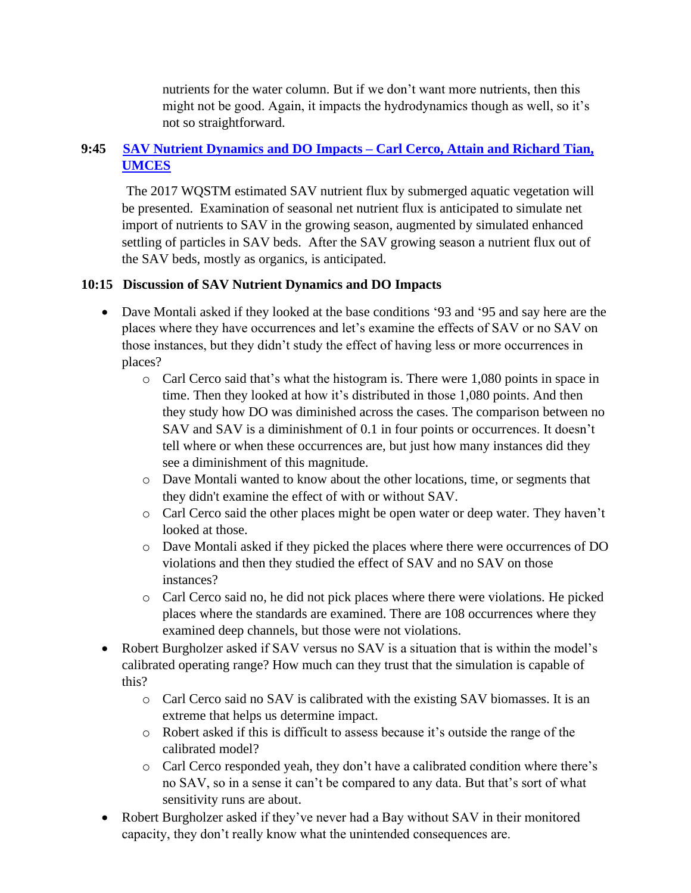nutrients for the water column. But if we don't want more nutrients, then this might not be good. Again, it impacts the hydrodynamics though as well, so it's not so straightforward.

### **9:45 SAV Nutrient Dynamics and DO Impacts – [Carl Cerco, Attain and Richard Tian,](https://www.chesapeakebay.net/channel_files/43361/cerco_070721.pdf)  [UMCES](https://www.chesapeakebay.net/channel_files/43361/cerco_070721.pdf)**

 The 2017 WQSTM estimated SAV nutrient flux by submerged aquatic vegetation will be presented. Examination of seasonal net nutrient flux is anticipated to simulate net import of nutrients to SAV in the growing season, augmented by simulated enhanced settling of particles in SAV beds. After the SAV growing season a nutrient flux out of the SAV beds, mostly as organics, is anticipated.

### **10:15 Discussion of SAV Nutrient Dynamics and DO Impacts**

- Dave Montali asked if they looked at the base conditions '93 and '95 and say here are the places where they have occurrences and let's examine the effects of SAV or no SAV on those instances, but they didn't study the effect of having less or more occurrences in places?
	- o Carl Cerco said that's what the histogram is. There were 1,080 points in space in time. Then they looked at how it's distributed in those 1,080 points. And then they study how DO was diminished across the cases. The comparison between no SAV and SAV is a diminishment of 0.1 in four points or occurrences. It doesn't tell where or when these occurrences are, but just how many instances did they see a diminishment of this magnitude.
	- o Dave Montali wanted to know about the other locations, time, or segments that they didn't examine the effect of with or without SAV.
	- o Carl Cerco said the other places might be open water or deep water. They haven't looked at those.
	- o Dave Montali asked if they picked the places where there were occurrences of DO violations and then they studied the effect of SAV and no SAV on those instances?
	- o Carl Cerco said no, he did not pick places where there were violations. He picked places where the standards are examined. There are 108 occurrences where they examined deep channels, but those were not violations.
- Robert Burgholzer asked if SAV versus no SAV is a situation that is within the model's calibrated operating range? How much can they trust that the simulation is capable of this?
	- o Carl Cerco said no SAV is calibrated with the existing SAV biomasses. It is an extreme that helps us determine impact.
	- o Robert asked if this is difficult to assess because it's outside the range of the calibrated model?
	- o Carl Cerco responded yeah, they don't have a calibrated condition where there's no SAV, so in a sense it can't be compared to any data. But that's sort of what sensitivity runs are about.
- Robert Burgholzer asked if they've never had a Bay without SAV in their monitored capacity, they don't really know what the unintended consequences are.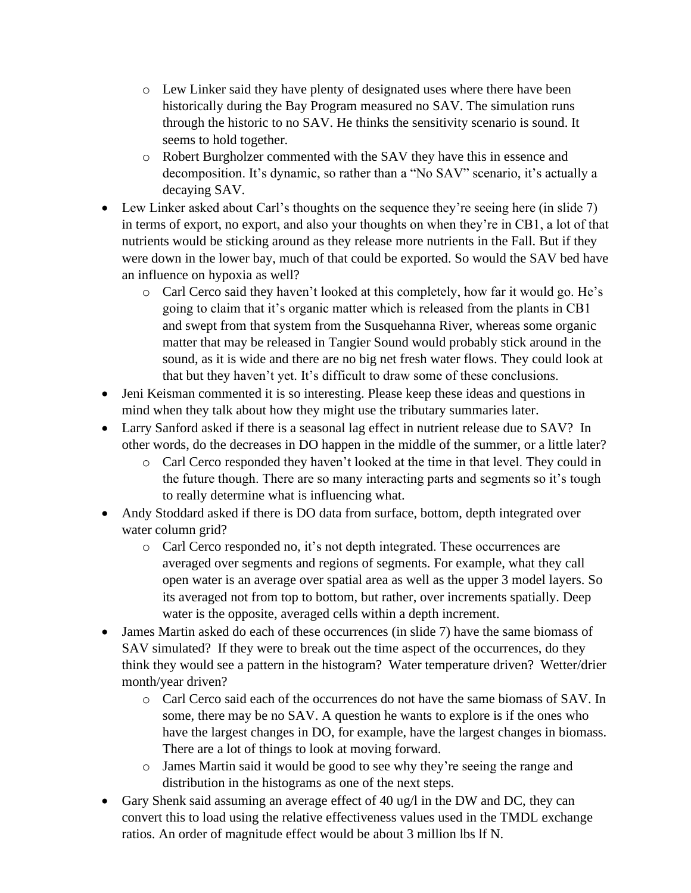- o Lew Linker said they have plenty of designated uses where there have been historically during the Bay Program measured no SAV. The simulation runs through the historic to no SAV. He thinks the sensitivity scenario is sound. It seems to hold together.
- o Robert Burgholzer commented with the SAV they have this in essence and decomposition. It's dynamic, so rather than a "No SAV" scenario, it's actually a decaying SAV.
- Lew Linker asked about Carl's thoughts on the sequence they're seeing here (in slide 7) in terms of export, no export, and also your thoughts on when they're in CB1, a lot of that nutrients would be sticking around as they release more nutrients in the Fall. But if they were down in the lower bay, much of that could be exported. So would the SAV bed have an influence on hypoxia as well?
	- o Carl Cerco said they haven't looked at this completely, how far it would go. He's going to claim that it's organic matter which is released from the plants in CB1 and swept from that system from the Susquehanna River, whereas some organic matter that may be released in Tangier Sound would probably stick around in the sound, as it is wide and there are no big net fresh water flows. They could look at that but they haven't yet. It's difficult to draw some of these conclusions.
- Jeni Keisman commented it is so interesting. Please keep these ideas and questions in mind when they talk about how they might use the tributary summaries later.
- Larry Sanford asked if there is a seasonal lag effect in nutrient release due to SAV? In other words, do the decreases in DO happen in the middle of the summer, or a little later?
	- o Carl Cerco responded they haven't looked at the time in that level. They could in the future though. There are so many interacting parts and segments so it's tough to really determine what is influencing what.
- Andy Stoddard asked if there is DO data from surface, bottom, depth integrated over water column grid?
	- o Carl Cerco responded no, it's not depth integrated. These occurrences are averaged over segments and regions of segments. For example, what they call open water is an average over spatial area as well as the upper 3 model layers. So its averaged not from top to bottom, but rather, over increments spatially. Deep water is the opposite, averaged cells within a depth increment.
- James Martin asked do each of these occurrences (in slide 7) have the same biomass of SAV simulated? If they were to break out the time aspect of the occurrences, do they think they would see a pattern in the histogram? Water temperature driven? Wetter/drier month/year driven?
	- o Carl Cerco said each of the occurrences do not have the same biomass of SAV. In some, there may be no SAV. A question he wants to explore is if the ones who have the largest changes in DO, for example, have the largest changes in biomass. There are a lot of things to look at moving forward.
	- o James Martin said it would be good to see why they're seeing the range and distribution in the histograms as one of the next steps.
- Gary Shenk said assuming an average effect of 40 ug/l in the DW and DC, they can convert this to load using the relative effectiveness values used in the TMDL exchange ratios. An order of magnitude effect would be about 3 million lbs lf N.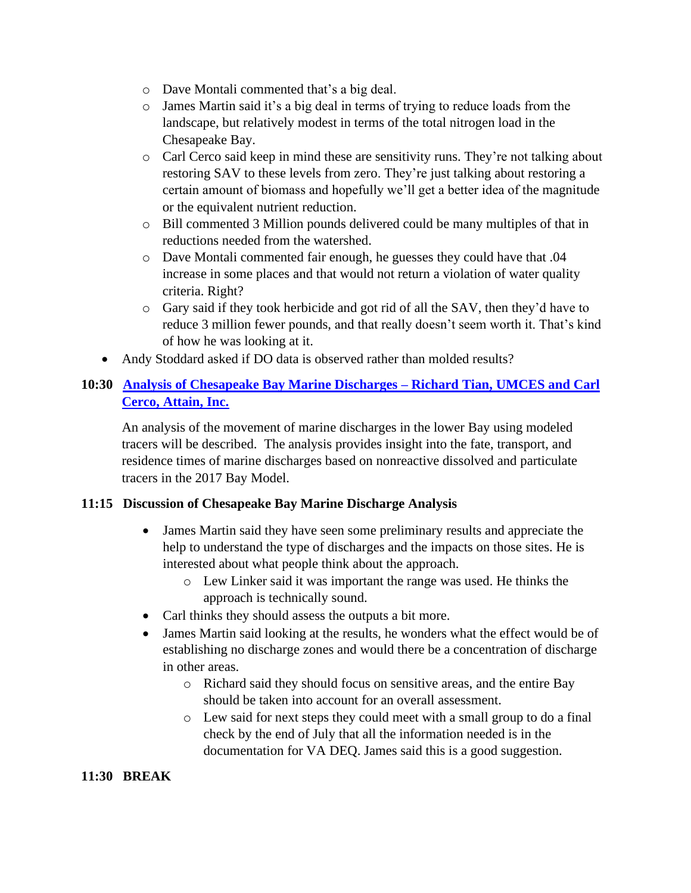- o Dave Montali commented that's a big deal.
- o James Martin said it's a big deal in terms of trying to reduce loads from the landscape, but relatively modest in terms of the total nitrogen load in the Chesapeake Bay.
- o Carl Cerco said keep in mind these are sensitivity runs. They're not talking about restoring SAV to these levels from zero. They're just talking about restoring a certain amount of biomass and hopefully we'll get a better idea of the magnitude or the equivalent nutrient reduction.
- o Bill commented 3 Million pounds delivered could be many multiples of that in reductions needed from the watershed.
- o Dave Montali commented fair enough, he guesses they could have that .04 increase in some places and that would not return a violation of water quality criteria. Right?
- o Gary said if they took herbicide and got rid of all the SAV, then they'd have to reduce 3 million fewer pounds, and that really doesn't seem worth it. That's kind of how he was looking at it.
- Andy Stoddard asked if DO data is observed rather than molded results?

### **10:30 [Analysis of Chesapeake Bay Marine Discharges –](https://www.chesapeakebay.net/channel_files/43361/tracer202106707qr3.pdf) Richard Tian, UMCES and Carl [Cerco, Attain, Inc.](https://www.chesapeakebay.net/channel_files/43361/tracer202106707qr3.pdf)**

An analysis of the movement of marine discharges in the lower Bay using modeled tracers will be described. The analysis provides insight into the fate, transport, and residence times of marine discharges based on nonreactive dissolved and particulate tracers in the 2017 Bay Model.

#### **11:15 Discussion of Chesapeake Bay Marine Discharge Analysis**

- James Martin said they have seen some preliminary results and appreciate the help to understand the type of discharges and the impacts on those sites. He is interested about what people think about the approach.
	- o Lew Linker said it was important the range was used. He thinks the approach is technically sound.
- Carl thinks they should assess the outputs a bit more.
- James Martin said looking at the results, he wonders what the effect would be of establishing no discharge zones and would there be a concentration of discharge in other areas.
	- o Richard said they should focus on sensitive areas, and the entire Bay should be taken into account for an overall assessment.
	- o Lew said for next steps they could meet with a small group to do a final check by the end of July that all the information needed is in the documentation for VA DEQ. James said this is a good suggestion.

#### **11:30 BREAK**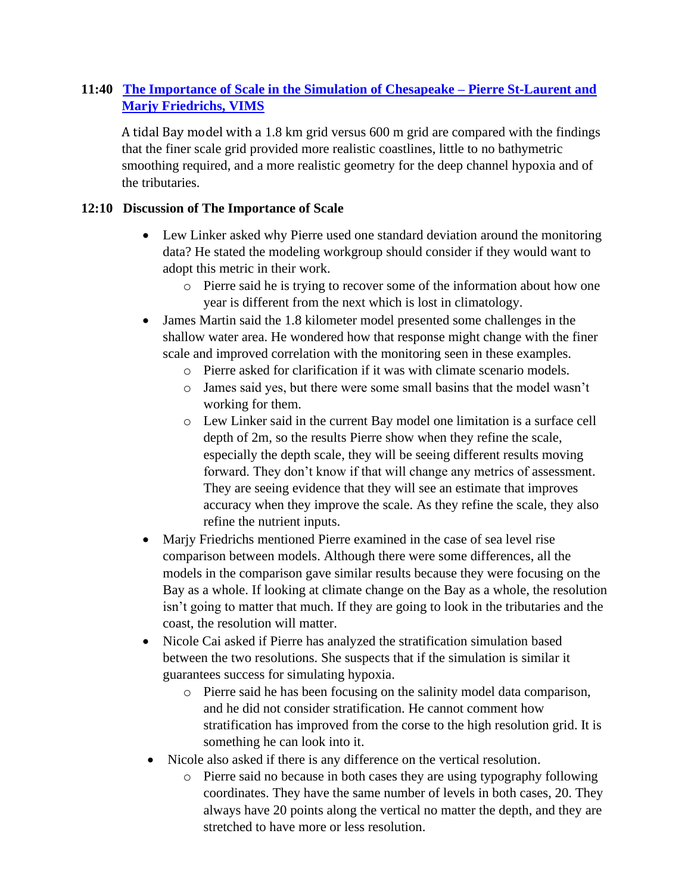### **11:40 [The Importance of Scale in the Simulation of Chesapeake –](https://www.chesapeakebay.net/channel_files/43361/pierre_stlaurent_modeling_wg20210707.pdf) Pierre St-Laurent and [Marjy Friedrichs, VIMS](https://www.chesapeakebay.net/channel_files/43361/pierre_stlaurent_modeling_wg20210707.pdf)**

 A tidal Bay model with a 1.8 km grid versus 600 m grid are compared with the findings that the finer scale grid provided more realistic coastlines, little to no bathymetric smoothing required, and a more realistic geometry for the deep channel hypoxia and of the tributaries.

#### **12:10 Discussion of The Importance of Scale**

- Lew Linker asked why Pierre used one standard deviation around the monitoring data? He stated the modeling workgroup should consider if they would want to adopt this metric in their work.
	- o Pierre said he is trying to recover some of the information about how one year is different from the next which is lost in climatology.
- James Martin said the 1.8 kilometer model presented some challenges in the shallow water area. He wondered how that response might change with the finer scale and improved correlation with the monitoring seen in these examples.
	- o Pierre asked for clarification if it was with climate scenario models.
	- o James said yes, but there were some small basins that the model wasn't working for them.
	- o Lew Linker said in the current Bay model one limitation is a surface cell depth of 2m, so the results Pierre show when they refine the scale, especially the depth scale, they will be seeing different results moving forward. They don't know if that will change any metrics of assessment. They are seeing evidence that they will see an estimate that improves accuracy when they improve the scale. As they refine the scale, they also refine the nutrient inputs.
- Marjy Friedrichs mentioned Pierre examined in the case of sea level rise comparison between models. Although there were some differences, all the models in the comparison gave similar results because they were focusing on the Bay as a whole. If looking at climate change on the Bay as a whole, the resolution isn't going to matter that much. If they are going to look in the tributaries and the coast, the resolution will matter.
- Nicole Cai asked if Pierre has analyzed the stratification simulation based between the two resolutions. She suspects that if the simulation is similar it guarantees success for simulating hypoxia.
	- o Pierre said he has been focusing on the salinity model data comparison, and he did not consider stratification. He cannot comment how stratification has improved from the corse to the high resolution grid. It is something he can look into it.
- Nicole also asked if there is any difference on the vertical resolution.
	- o Pierre said no because in both cases they are using typography following coordinates. They have the same number of levels in both cases, 20. They always have 20 points along the vertical no matter the depth, and they are stretched to have more or less resolution.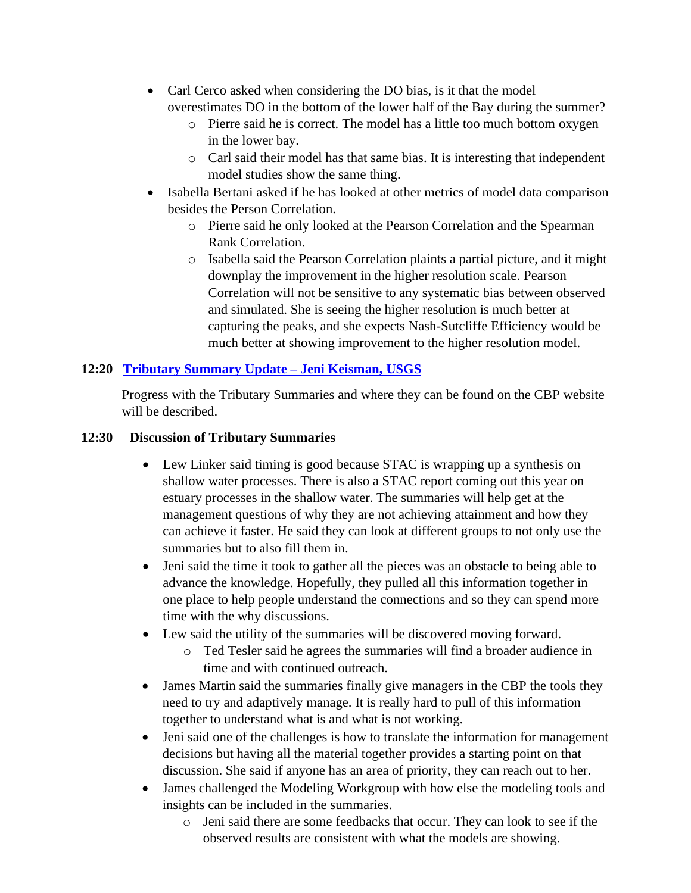- Carl Cerco asked when considering the DO bias, is it that the model overestimates DO in the bottom of the lower half of the Bay during the summer?
	- o Pierre said he is correct. The model has a little too much bottom oxygen in the lower bay.
	- o Carl said their model has that same bias. It is interesting that independent model studies show the same thing.
- Isabella Bertani asked if he has looked at other metrics of model data comparison besides the Person Correlation.
	- o Pierre said he only looked at the Pearson Correlation and the Spearman Rank Correlation.
	- o Isabella said the Pearson Correlation plaints a partial picture, and it might downplay the improvement in the higher resolution scale. Pearson Correlation will not be sensitive to any systematic bias between observed and simulated. She is seeing the higher resolution is much better at capturing the peaks, and she expects Nash-Sutcliffe Efficiency would be much better at showing improvement to the higher resolution model.

### **12:20 [Tributary Summary Update –](https://www.chesapeakebay.net/channel_files/43361/tribsummaries_keisman_2021-07-07_2.pdf) Jeni Keisman, USGS**

 Progress with the Tributary Summaries and where they can be found on the CBP website will be described.

#### **12:30 Discussion of Tributary Summaries**

- Lew Linker said timing is good because STAC is wrapping up a synthesis on shallow water processes. There is also a STAC report coming out this year on estuary processes in the shallow water. The summaries will help get at the management questions of why they are not achieving attainment and how they can achieve it faster. He said they can look at different groups to not only use the summaries but to also fill them in.
- Jeni said the time it took to gather all the pieces was an obstacle to being able to advance the knowledge. Hopefully, they pulled all this information together in one place to help people understand the connections and so they can spend more time with the why discussions.
- Lew said the utility of the summaries will be discovered moving forward.
	- o Ted Tesler said he agrees the summaries will find a broader audience in time and with continued outreach.
- James Martin said the summaries finally give managers in the CBP the tools they need to try and adaptively manage. It is really hard to pull of this information together to understand what is and what is not working.
- Jeni said one of the challenges is how to translate the information for management decisions but having all the material together provides a starting point on that discussion. She said if anyone has an area of priority, they can reach out to her.
- James challenged the Modeling Workgroup with how else the modeling tools and insights can be included in the summaries.
	- o Jeni said there are some feedbacks that occur. They can look to see if the observed results are consistent with what the models are showing.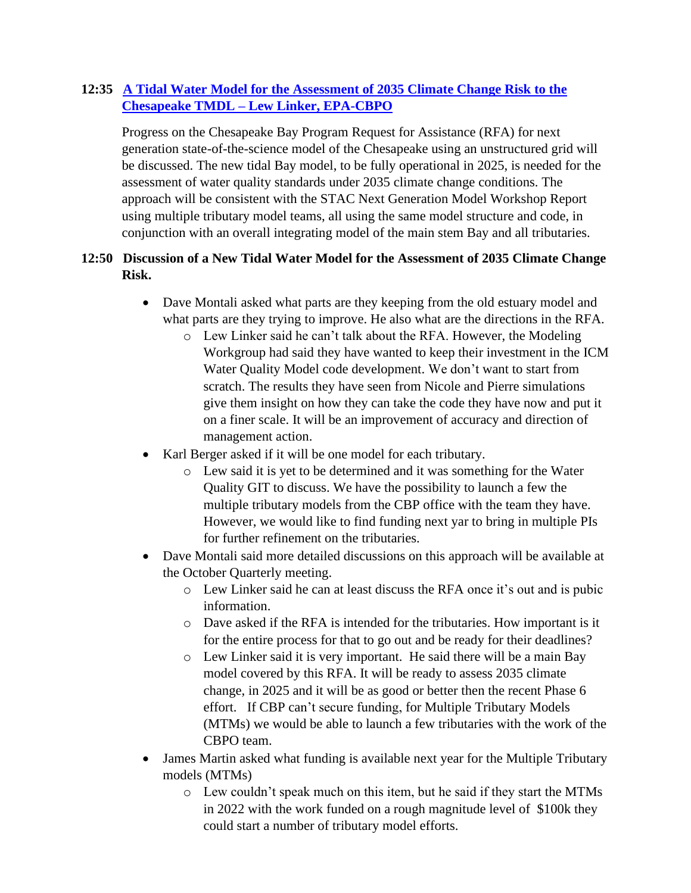### **12:35 [A Tidal Water Model for the Assessment of 2035 Climate Change Risk to the](https://www.chesapeakebay.net/channel_files/43361/overview__scedule_for_2025_bay_model_final_7-7-21.pdf)  Chesapeake TMDL – [Lew Linker, EPA-CBPO](https://www.chesapeakebay.net/channel_files/43361/overview__scedule_for_2025_bay_model_final_7-7-21.pdf)**

 Progress on the Chesapeake Bay Program Request for Assistance (RFA) for next generation state-of-the-science model of the Chesapeake using an unstructured grid will be discussed. The new tidal Bay model, to be fully operational in 2025, is needed for the assessment of water quality standards under 2035 climate change conditions. The approach will be consistent with the STAC Next Generation Model Workshop Report using multiple tributary model teams, all using the same model structure and code, in conjunction with an overall integrating model of the main stem Bay and all tributaries.

### **12:50 Discussion of a New Tidal Water Model for the Assessment of 2035 Climate Change Risk.**

- Dave Montali asked what parts are they keeping from the old estuary model and what parts are they trying to improve. He also what are the directions in the RFA.
	- o Lew Linker said he can't talk about the RFA. However, the Modeling Workgroup had said they have wanted to keep their investment in the ICM Water Quality Model code development. We don't want to start from scratch. The results they have seen from Nicole and Pierre simulations give them insight on how they can take the code they have now and put it on a finer scale. It will be an improvement of accuracy and direction of management action.
- Karl Berger asked if it will be one model for each tributary.
	- o Lew said it is yet to be determined and it was something for the Water Quality GIT to discuss. We have the possibility to launch a few the multiple tributary models from the CBP office with the team they have. However, we would like to find funding next yar to bring in multiple PIs for further refinement on the tributaries.
- Dave Montali said more detailed discussions on this approach will be available at the October Quarterly meeting.
	- o Lew Linker said he can at least discuss the RFA once it's out and is pubic information.
	- o Dave asked if the RFA is intended for the tributaries. How important is it for the entire process for that to go out and be ready for their deadlines?
	- o Lew Linker said it is very important. He said there will be a main Bay model covered by this RFA. It will be ready to assess 2035 climate change, in 2025 and it will be as good or better then the recent Phase 6 effort. If CBP can't secure funding, for Multiple Tributary Models (MTMs) we would be able to launch a few tributaries with the work of the CBPO team.
- James Martin asked what funding is available next year for the Multiple Tributary models (MTMs)
	- o Lew couldn't speak much on this item, but he said if they start the MTMs in 2022 with the work funded on a rough magnitude level of \$100k they could start a number of tributary model efforts.